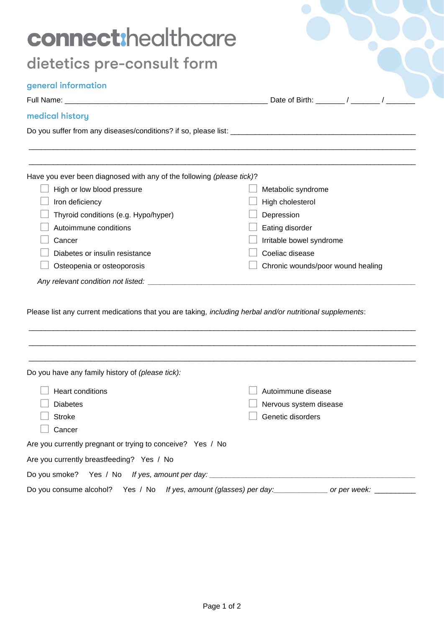| connect:healthcare                                                                                        |                                   |
|-----------------------------------------------------------------------------------------------------------|-----------------------------------|
| dietetics pre-consult form                                                                                |                                   |
| general information                                                                                       |                                   |
| medical history                                                                                           |                                   |
|                                                                                                           |                                   |
| Have you ever been diagnosed with any of the following (please tick)?                                     |                                   |
| High or low blood pressure                                                                                | Metabolic syndrome                |
| Iron deficiency                                                                                           | High cholesterol                  |
| Thyroid conditions (e.g. Hypo/hyper)                                                                      | Depression                        |
| Autoimmune conditions                                                                                     | Eating disorder                   |
| Cancer                                                                                                    | Irritable bowel syndrome          |
| Diabetes or insulin resistance                                                                            | Coeliac disease                   |
| Osteopenia or osteoporosis                                                                                | Chronic wounds/poor wound healing |
|                                                                                                           |                                   |
| Please list any current medications that you are taking, including herbal and/or nutritional supplements: |                                   |
| Do you have any family history of (please tick):                                                          |                                   |
| <b>Heart conditions</b>                                                                                   | Autoimmune disease                |
| <b>Diabetes</b>                                                                                           | Nervous system disease            |
| <b>Stroke</b>                                                                                             | Genetic disorders                 |
| Cancer                                                                                                    |                                   |
| Are you currently pregnant or trying to conceive? Yes / No                                                |                                   |
| Are you currently breastfeeding? Yes / No                                                                 |                                   |
|                                                                                                           |                                   |
|                                                                                                           |                                   |